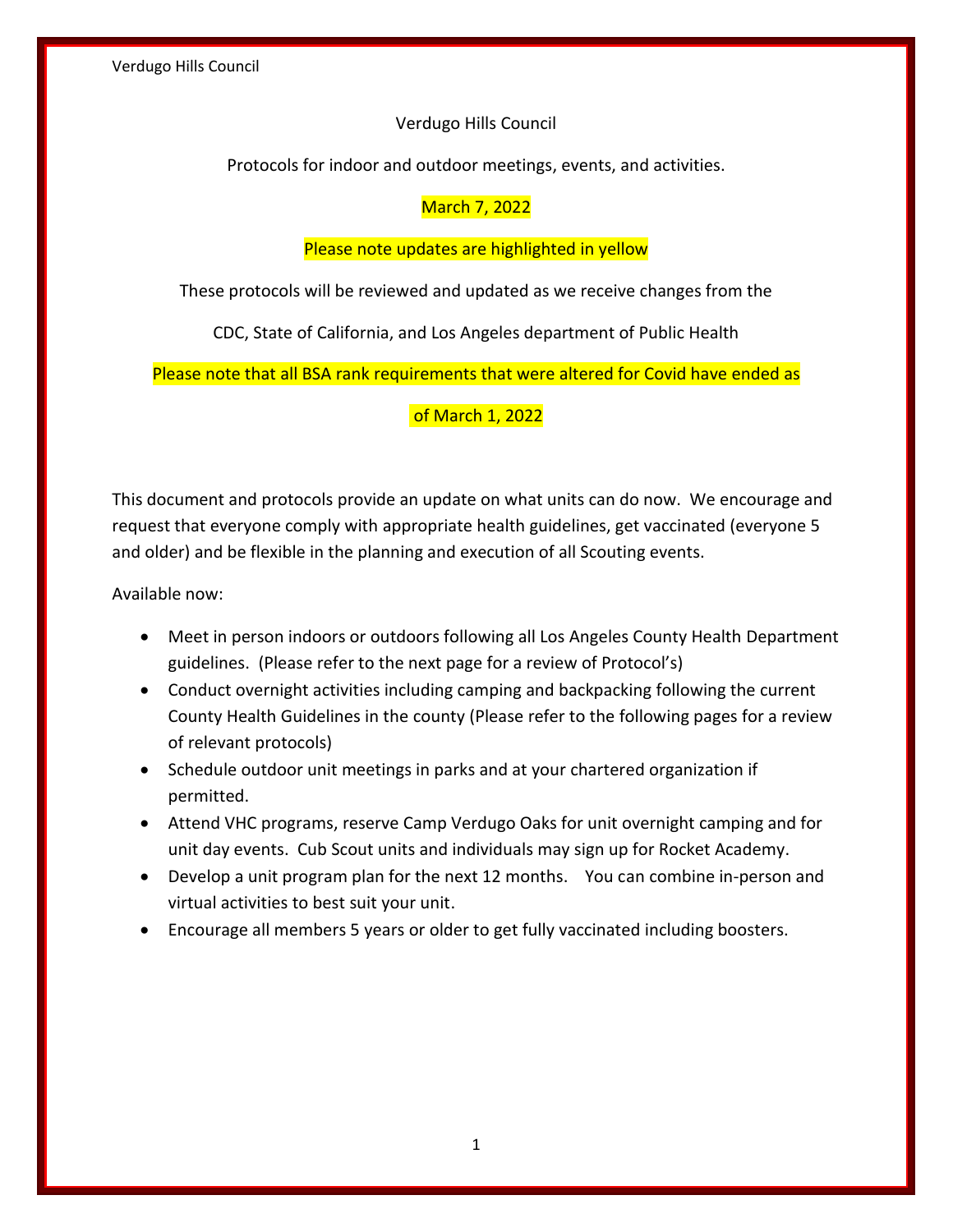## Verdugo Hills Council

Protocols for indoor and outdoor meetings, events, and activities.

# March 7, 2022

## Please note updates are highlighted in yellow

These protocols will be reviewed and updated as we receive changes from the

CDC, State of California, and Los Angeles department of Public Health

Please note that all BSA rank requirements that were altered for Covid have ended as

## of March 1, 2022

This document and protocols provide an update on what units can do now. We encourage and request that everyone comply with appropriate health guidelines, get vaccinated (everyone 5 and older) and be flexible in the planning and execution of all Scouting events.

Available now:

- Meet in person indoors or outdoors following all Los Angeles County Health Department guidelines. (Please refer to the next page for a review of Protocol's)
- Conduct overnight activities including camping and backpacking following the current County Health Guidelines in the county (Please refer to the following pages for a review of relevant protocols)
- Schedule outdoor unit meetings in parks and at your chartered organization if permitted.
- Attend VHC programs, reserve Camp Verdugo Oaks for unit overnight camping and for unit day events. Cub Scout units and individuals may sign up for Rocket Academy.
- Develop a unit program plan for the next 12 months. You can combine in-person and virtual activities to best suit your unit.
- Encourage all members 5 years or older to get fully vaccinated including boosters.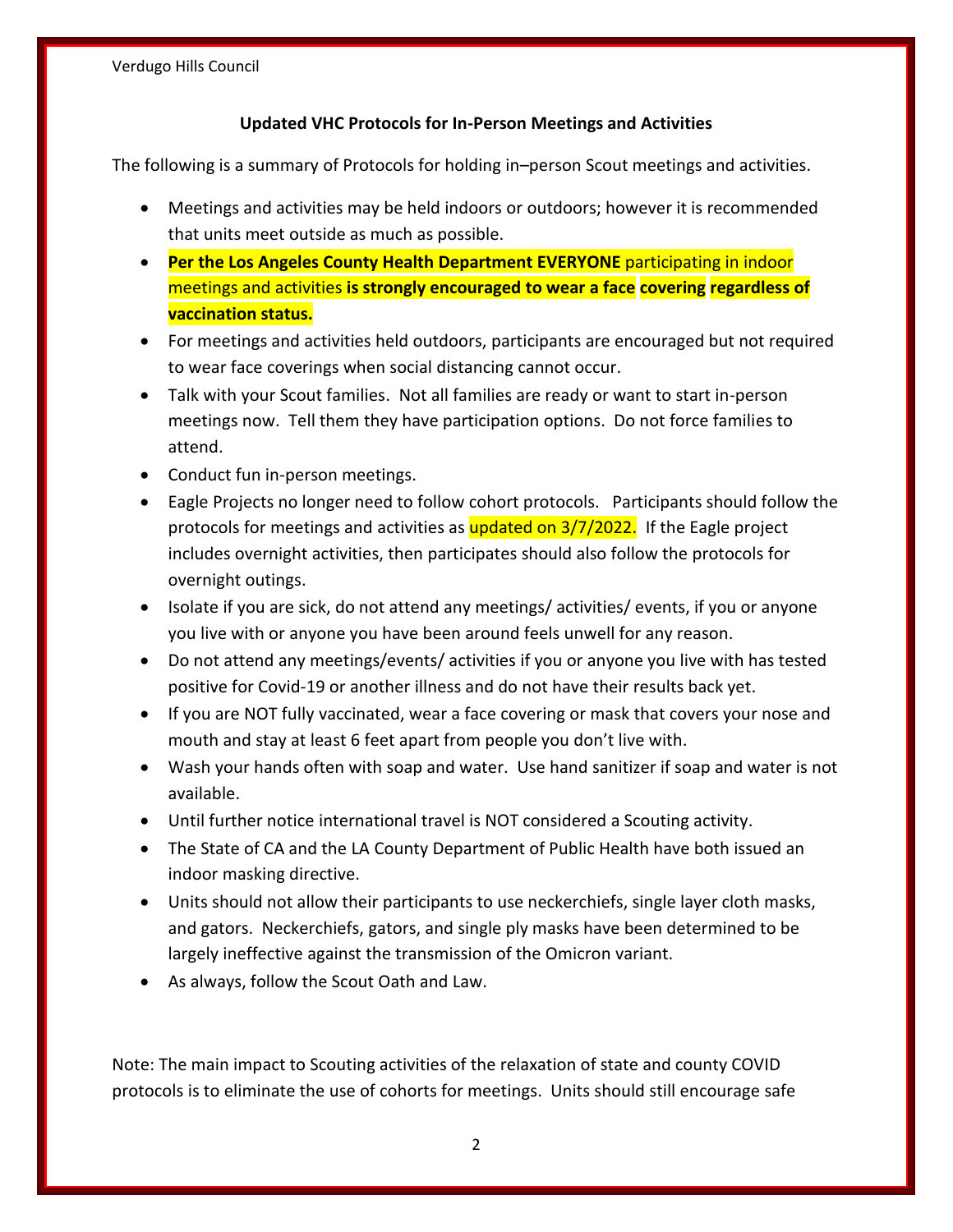# **Updated VHC Protocols for In-Person Meetings and Activities**

The following is a summary of Protocols for holding in–person Scout meetings and activities.

- Meetings and activities may be held indoors or outdoors; however it is recommended that units meet outside as much as possible.
- **Per the Los Angeles County Health Department EVERYONE** participating in indoor meetings and activities **is strongly encouraged to wear a face covering regardless of vaccination status.**
- For meetings and activities held outdoors, participants are encouraged but not required to wear face coverings when social distancing cannot occur.
- Talk with your Scout families. Not all families are ready or want to start in-person meetings now. Tell them they have participation options. Do not force families to attend.
- Conduct fun in-person meetings.
- Eagle Projects no longer need to follow cohort protocols. Participants should follow the protocols for meetings and activities as updated on 3/7/2022. If the Eagle project includes overnight activities, then participates should also follow the protocols for overnight outings.
- Isolate if you are sick, do not attend any meetings/ activities/ events, if you or anyone you live with or anyone you have been around feels unwell for any reason.
- Do not attend any meetings/events/ activities if you or anyone you live with has tested positive for Covid-19 or another illness and do not have their results back yet.
- If you are NOT fully vaccinated, wear a face covering or mask that covers your nose and mouth and stay at least 6 feet apart from people you don't live with.
- Wash your hands often with soap and water. Use hand sanitizer if soap and water is not available.
- Until further notice international travel is NOT considered a Scouting activity.
- The State of CA and the LA County Department of Public Health have both issued an indoor masking directive.
- Units should not allow their participants to use neckerchiefs, single layer cloth masks, and gators. Neckerchiefs, gators, and single ply masks have been determined to be largely ineffective against the transmission of the Omicron variant.
- As always, follow the Scout Oath and Law.

Note: The main impact to Scouting activities of the relaxation of state and county COVID protocols is to eliminate the use of cohorts for meetings. Units should still encourage safe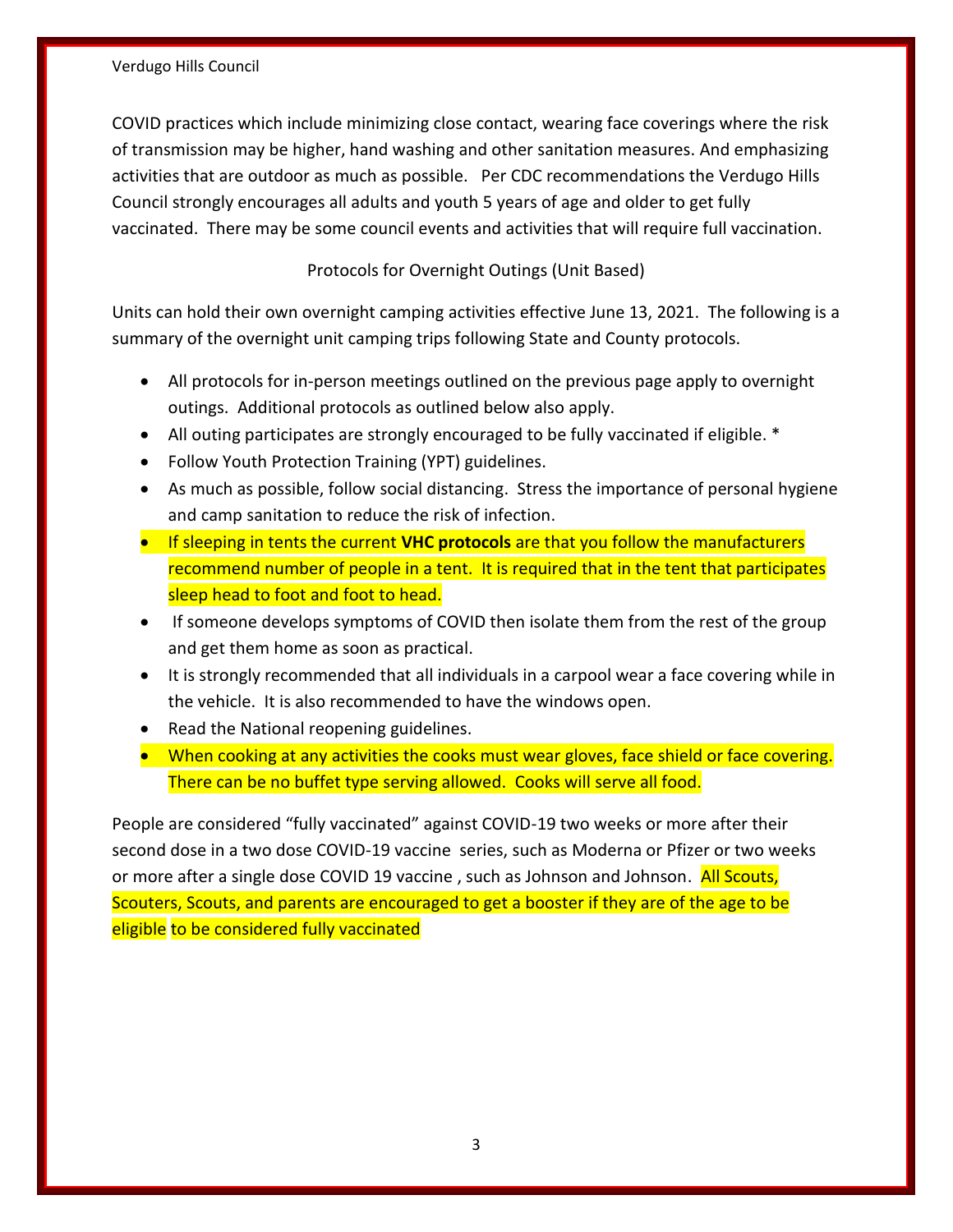#### Verdugo Hills Council

COVID practices which include minimizing close contact, wearing face coverings where the risk of transmission may be higher, hand washing and other sanitation measures. And emphasizing activities that are outdoor as much as possible. Per CDC recommendations the Verdugo Hills Council strongly encourages all adults and youth 5 years of age and older to get fully vaccinated. There may be some council events and activities that will require full vaccination.

## Protocols for Overnight Outings (Unit Based)

Units can hold their own overnight camping activities effective June 13, 2021. The following is a summary of the overnight unit camping trips following State and County protocols.

- All protocols for in-person meetings outlined on the previous page apply to overnight outings. Additional protocols as outlined below also apply.
- All outing participates are strongly encouraged to be fully vaccinated if eligible. \*
- Follow Youth Protection Training (YPT) guidelines.
- As much as possible, follow social distancing. Stress the importance of personal hygiene and camp sanitation to reduce the risk of infection.
- If sleeping in tents the current **VHC protocols** are that you follow the manufacturers recommend number of people in a tent. It is required that in the tent that participates sleep head to foot and foot to head.
- If someone develops symptoms of COVID then isolate them from the rest of the group and get them home as soon as practical.
- It is strongly recommended that all individuals in a carpool wear a face covering while in the vehicle. It is also recommended to have the windows open.
- Read the National reopening guidelines.
- When cooking at any activities the cooks must wear gloves, face shield or face covering. There can be no buffet type serving allowed. Cooks will serve all food.

People are considered "fully vaccinated" against COVID-19 two weeks or more after their second dose in a two dose COVID-19 vaccine series, such as Moderna or Pfizer or two weeks or more after a single dose COVID 19 vaccine, such as Johnson and Johnson. All Scouts, Scouters, Scouts, and parents are encouraged to get a booster if they are of the age to be eligible to be considered fully vaccinated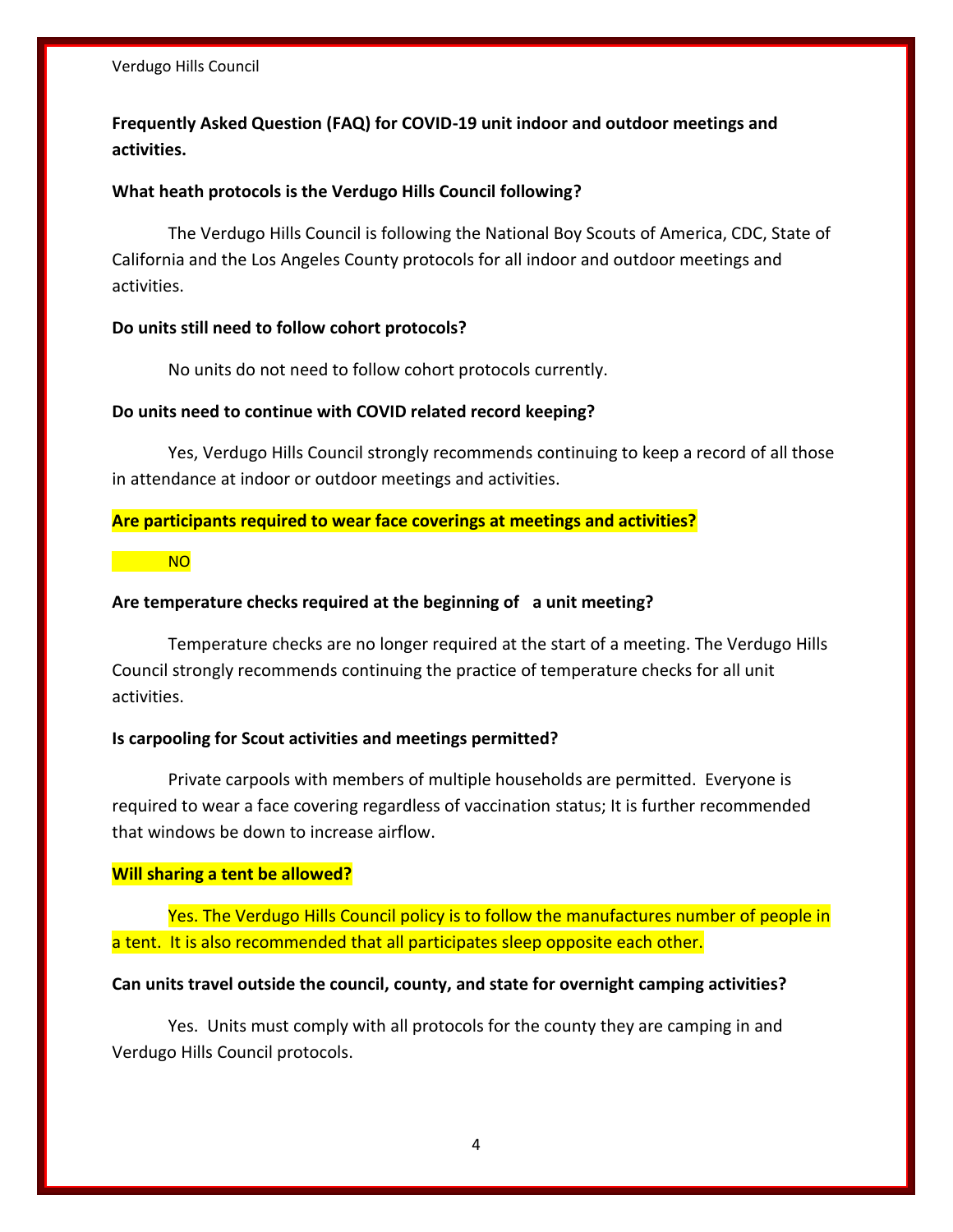# **Frequently Asked Question (FAQ) for COVID-19 unit indoor and outdoor meetings and activities.**

## **What heath protocols is the Verdugo Hills Council following?**

The Verdugo Hills Council is following the National Boy Scouts of America, CDC, State of California and the Los Angeles County protocols for all indoor and outdoor meetings and activities.

#### **Do units still need to follow cohort protocols?**

No units do not need to follow cohort protocols currently.

#### **Do units need to continue with COVID related record keeping?**

Yes, Verdugo Hills Council strongly recommends continuing to keep a record of all those in attendance at indoor or outdoor meetings and activities.

## **Are participants required to wear face coverings at meetings and activities?**

NO

#### **Are temperature checks required at the beginning of a unit meeting?**

Temperature checks are no longer required at the start of a meeting. The Verdugo Hills Council strongly recommends continuing the practice of temperature checks for all unit activities.

#### **Is carpooling for Scout activities and meetings permitted?**

Private carpools with members of multiple households are permitted. Everyone is required to wear a face covering regardless of vaccination status; It is further recommended that windows be down to increase airflow.

#### **Will sharing a tent be allowed?**

Yes. The Verdugo Hills Council policy is to follow the manufactures number of people in a tent. It is also recommended that all participates sleep opposite each other.

## **Can units travel outside the council, county, and state for overnight camping activities?**

Yes. Units must comply with all protocols for the county they are camping in and Verdugo Hills Council protocols.